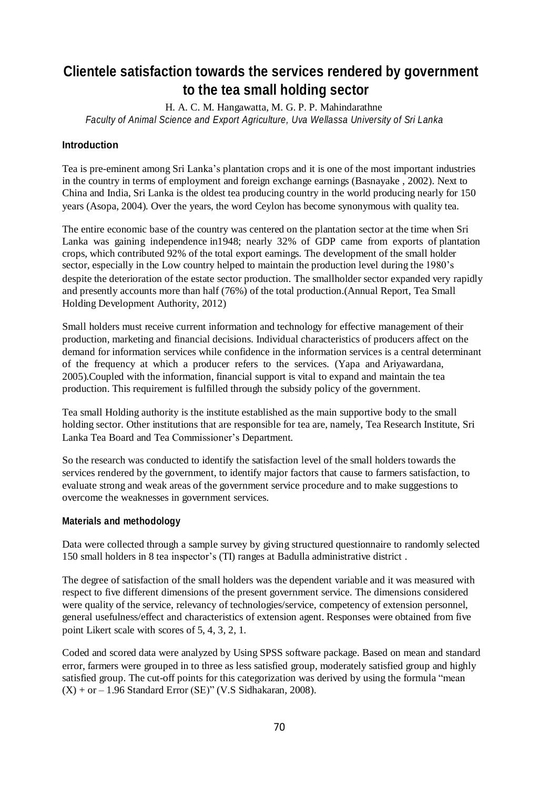# **Clientele satisfaction towards the services rendered by government to the tea small holding sector**

H. A. C. M. Hangawatta, M. G. P. P. Mahindarathne *Faculty of Animal Science and Export Agriculture, Uva Wellassa University of Sri Lanka*

# **Introduction**

Tea is pre-eminent among Sri Lanka's plantation crops and it is one of the most important industries in the country in terms of employment and foreign exchange earnings (Basnayake , 2002). Next to China and India, Sri Lanka is the oldest tea producing country in the world producing nearly for 150 years (Asopa, 2004). Over the years, the word Ceylon has become synonymous with quality tea.

The entire economic base of the country was centered on the plantation sector at the time when Sri Lanka was gaining independence in1948; nearly 32% of GDP came from exports of plantation crops, which contributed 92% of the total export earnings. The development of the small holder sector, especially in the Low country helped to maintain the production level during the 1980's despite the deterioration of the estate sector production. The smallholder sector expanded very rapidly and presently accounts more than half (76%) of the total production.(Annual Report, Tea Small Holding Development Authority, 2012)

Small holders must receive current information and technology for effective management of their production, marketing and financial decisions. Individual characteristics of producers affect on the demand for information services while confidence in the information services is a central determinant of the frequency at which a producer refers to the services. (Yapa and Ariyawardana, 2005).Coupled with the information, financial support is vital to expand and maintain the tea production. This requirement is fulfilled through the subsidy policy of the government.

Tea small Holding authority is the institute established as the main supportive body to the small holding sector. Other institutions that are responsible for tea are, namely, Tea Research Institute, Sri Lanka Tea Board and Tea Commissioner's Department.

So the research was conducted to identify the satisfaction level of the small holders towards the services rendered by the government, to identify major factors that cause to farmers satisfaction, to evaluate strong and weak areas of the government service procedure and to make suggestions to overcome the weaknesses in government services.

### **Materials and methodology**

Data were collected through a sample survey by giving structured questionnaire to randomly selected 150 small holders in 8 tea inspector's (TI) ranges at Badulla administrative district .

The degree of satisfaction of the small holders was the dependent variable and it was measured with respect to five different dimensions of the present government service. The dimensions considered were quality of the service, relevancy of technologies/service, competency of extension personnel, general usefulness/effect and characteristics of extension agent. Responses were obtained from five point Likert scale with scores of 5, 4, 3, 2, 1.

Coded and scored data were analyzed by Using SPSS software package. Based on mean and standard error, farmers were grouped in to three as less satisfied group, moderately satisfied group and highly satisfied group. The cut-off points for this categorization was derived by using the formula "mean  $(X)$  + or – 1.96 Standard Error (SE)" (V.S Sidhakaran, 2008).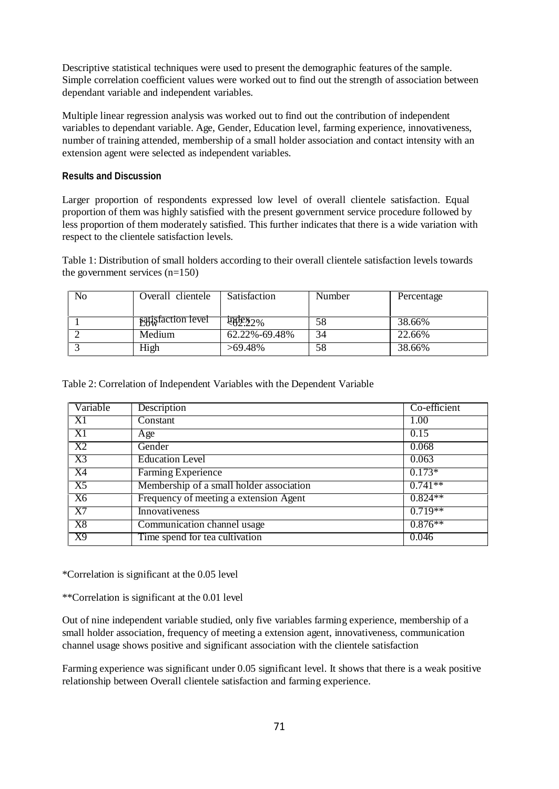Descriptive statistical techniques were used to present the demographic features of the sample. Simple correlation coefficient values were worked out to find out the strength of association between dependant variable and independent variables.

Multiple linear regression analysis was worked out to find out the contribution of independent variables to dependant variable. Age, Gender, Education level, farming experience, innovativeness, number of training attended, membership of a small holder association and contact intensity with an extension agent were selected as independent variables.

## **Results and Discussion**

Larger proportion of respondents expressed low level of overall clientele satisfaction. Equal proportion of them was highly satisfied with the present government service procedure followed by less proportion of them moderately satisfied. This further indicates that there is a wide variation with respect to the clientele satisfaction levels.

Table 1: Distribution of small holders according to their overall clientele satisfaction levels towards the government services (n=150)

| No | Overall clientele         | Satisfaction    | Number | Percentage |
|----|---------------------------|-----------------|--------|------------|
|    |                           |                 |        |            |
|    | <b>satisfaction level</b> | <b>POPE 22%</b> | 58     | 38.66%     |
|    | Medium                    | 62.22%-69.48%   | 34     | 22.66%     |
|    | High                      | >69.48%         | 58     | 38.66%     |

Table 2: Correlation of Independent Variables with the Dependent Variable

| Variable       | Description                              | Co-efficient |
|----------------|------------------------------------------|--------------|
| X1             | Constant                                 | 1.00         |
| X1             | Age                                      | 0.15         |
| X2             | Gender                                   | 0.068        |
| X3             | <b>Education Level</b>                   | 0.063        |
| X4             | Farming Experience                       | $0.173*$     |
| X5             | Membership of a small holder association | $0.741**$    |
| X <sub>6</sub> | Frequency of meeting a extension Agent   | $0.824**$    |
| X7             | Innovativeness                           | $0.719**$    |
| X8             | Communication channel usage              | $0.876**$    |
| X9             | Time spend for tea cultivation           | 0.046        |

\*Correlation is significant at the 0.05 level

\*\*Correlation is significant at the 0.01 level

Out of nine independent variable studied, only five variables farming experience, membership of a small holder association, frequency of meeting a extension agent, innovativeness, communication channel usage shows positive and significant association with the clientele satisfaction

Farming experience was significant under 0.05 significant level. It shows that there is a weak positive relationship between Overall clientele satisfaction and farming experience.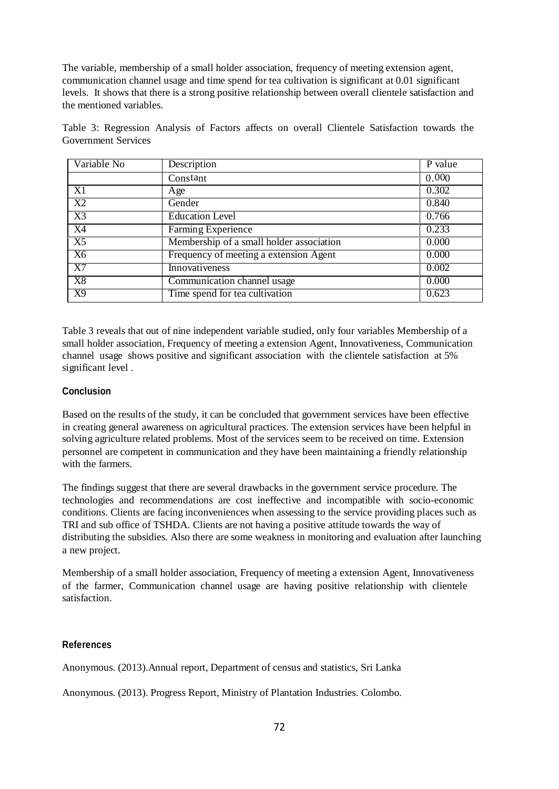The variable, membership of a small holder association, frequency of meeting extension agent, communication channel usage and time spend for tea cultivation is significant at 0.01 significant levels. It shows that there is a strong positive relationship between overall clientele satisfaction and the mentioned variables.

Table 3: Regression Analysis of Factors affects on overall Clientele Satisfaction towards the Government Services

| Variable No | Description                              | P value |
|-------------|------------------------------------------|---------|
|             | Constant                                 | 0.000   |
| X1          | Age                                      | 0.302   |
| X2          | Gender                                   | 0.840   |
| X3          | <b>Education Level</b>                   | 0.766   |
| X4          | Farming Experience                       | 0.233   |
| X5          | Membership of a small holder association | 0.000   |
| X6          | Frequency of meeting a extension Agent   | 0.000   |
| X7          | Innovativeness                           | 0.002   |
| X8          | Communication channel usage              | 0.000   |
| X9          | Time spend for tea cultivation           | 0.623   |

Table 3 reveals that out of nine independent variable studied, only four variables Membership of a small holder association, Frequency of meeting a extension Agent, Innovativeness, Communication channel usage shows positive and significant association with the clientele satisfaction at 5% significant level .

# **Conclusion**

Based on the results of the study, it can be concluded that government services have been effective in creating general awareness on agricultural practices. The extension services have been helpful in solving agriculture related problems. Most of the services seem to be received on time. Extension personnel are competent in communication and they have been maintaining a friendly relationship with the farmers.

The findings suggest that there are several drawbacks in the government service procedure. The technologies and recommendations are cost ineffective and incompatible with socio-economic conditions. Clients are facing inconveniences when assessing to the service providing places such as TRI and sub office of TSHDA. Clients are not having a positive attitude towards the way of distributing the subsidies. Also there are some weakness in monitoring and evaluation after launching a new project.

Membership of a small holder association, Frequency of meeting a extension Agent, Innovativeness of the farmer, Communication channel usage are having positive relationship with clientele satisfaction.

### **References**

Anonymous. (2013).Annual report, Department of census and statistics, Sri Lanka

Anonymous. (2013). Progress Report, Ministry of Plantation Industries. Colombo.